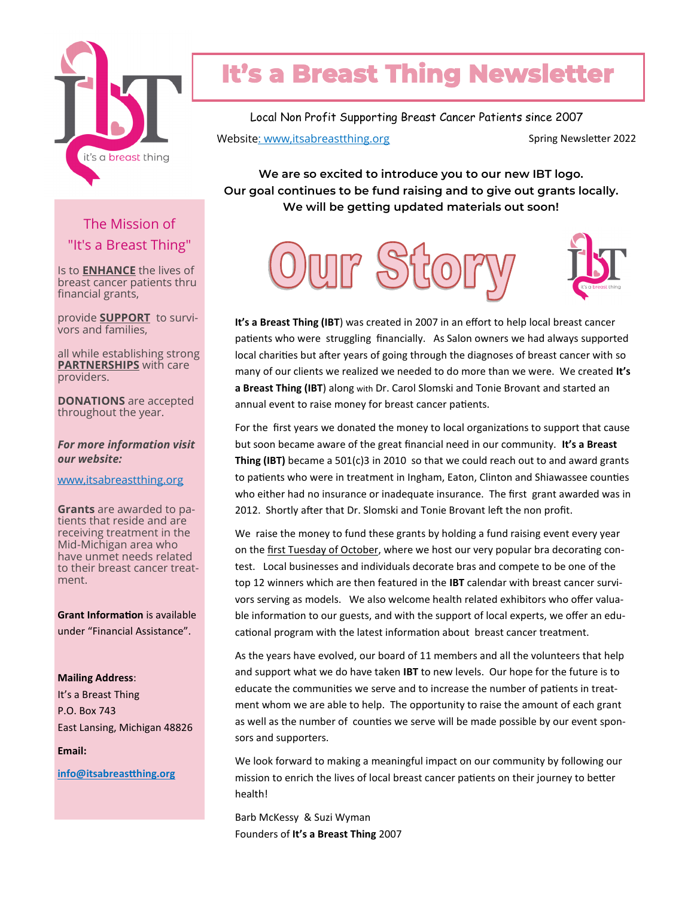

## **It's a Breast Thing Newsletter**

Local Non Profit Supporting Breast Cancer Patients since 2007 Website: www,itsabreastthing.org example and spring Newsletter 2022

**We are so excited to introduce you to our new IBT logo. Our goal continues to be fund raising and to give out grants locally. We will be getting updated materials out soon!**

The Mission of "It's a Breast Thing"

Is to **ENHANCE** the lives of breast cancer patients thru financial grants,

provide **SUPPORT** to survivors and families,

all while establishing strong **PARTNERSHIPS** with care providers.

**DONATIONS** are accepted throughout the year.

*For more information visit our website:*

www,itsabreastthing.org

**Grants** are awarded to patients that reside and are receiving treatment in the Mid-Michigan area who have unmet needs related to their breast cancer treatment.

**Grant Information** is available under "Financial Assistance".

**Mailing Address**: It's a Breast Thing

P.O. Box 743 East Lansing, Michigan 48826

**Email:**

**info@itsabreastthing.org**





**It's a Breast Thing (IBT**) was created in 2007 in an effort to help local breast cancer patients who were struggling financially. As Salon owners we had always supported local charities but after years of going through the diagnoses of breast cancer with so many of our clients we realized we needed to do more than we were. We created **It's a Breast Thing (IBT**) along with Dr. Carol Slomski and Tonie Brovant and started an annual event to raise money for breast cancer patients.

For the first years we donated the money to local organizations to support that cause but soon became aware of the great financial need in our community. **It's a Breast Thing (IBT)** became a 501(c)3 in 2010 so that we could reach out to and award grants to patients who were in treatment in Ingham, Eaton, Clinton and Shiawassee counties who either had no insurance or inadequate insurance. The first grant awarded was in 2012. Shortly after that Dr. Slomski and Tonie Brovant left the non profit.

We raise the money to fund these grants by holding a fund raising event every year on the first Tuesday of October, where we host our very popular bra decorating contest. Local businesses and individuals decorate bras and compete to be one of the top 12 winners which are then featured in the **IBT** calendar with breast cancer survivors serving as models. We also welcome health related exhibitors who offer valuable information to our guests, and with the support of local experts, we offer an educational program with the latest information about breast cancer treatment.

As the years have evolved, our board of 11 members and all the volunteers that help and support what we do have taken **IBT** to new levels. Our hope for the future is to educate the communities we serve and to increase the number of patients in treatment whom we are able to help. The opportunity to raise the amount of each grant as well as the number of counties we serve will be made possible by our event sponsors and supporters.

We look forward to making a meaningful impact on our community by following our mission to enrich the lives of local breast cancer patients on their journey to better health!

Barb McKessy & Suzi Wyman Founders of **It's a Breast Thing** 2007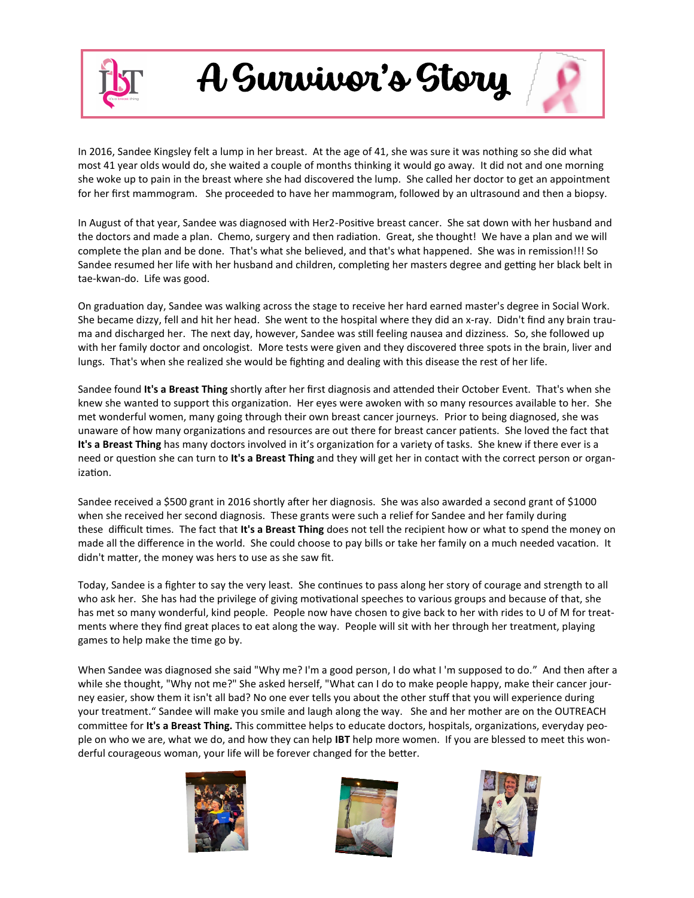

A Survivor's Story

In 2016, Sandee Kingsley felt a lump in her breast. At the age of 41, she was sure it was nothing so she did what most 41 year olds would do, she waited a couple of months thinking it would go away. It did not and one morning she woke up to pain in the breast where she had discovered the lump. She called her doctor to get an appointment for her first mammogram. She proceeded to have her mammogram, followed by an ultrasound and then a biopsy.

In August of that year, Sandee was diagnosed with Her2-Positive breast cancer. She sat down with her husband and the doctors and made a plan. Chemo, surgery and then radiation. Great, she thought! We have a plan and we will complete the plan and be done. That's what she believed, and that's what happened. She was in remission!!! So Sandee resumed her life with her husband and children, completing her masters degree and getting her black belt in tae-kwan-do. Life was good.

On graduation day, Sandee was walking across the stage to receive her hard earned master's degree in Social Work. She became dizzy, fell and hit her head. She went to the hospital where they did an x-ray. Didn't find any brain trauma and discharged her. The next day, however, Sandee was still feeling nausea and dizziness. So, she followed up with her family doctor and oncologist. More tests were given and they discovered three spots in the brain, liver and lungs. That's when she realized she would be fighting and dealing with this disease the rest of her life.

Sandee found **It's a Breast Thing** shortly after her first diagnosis and attended their October Event. That's when she knew she wanted to support this organization. Her eyes were awoken with so many resources available to her. She met wonderful women, many going through their own breast cancer journeys. Prior to being diagnosed, she was unaware of how many organizations and resources are out there for breast cancer patients. She loved the fact that **It's a Breast Thing** has many doctors involved in it's organization for a variety of tasks. She knew if there ever is a need or question she can turn to **It's a Breast Thing** and they will get her in contact with the correct person or organization.

Sandee received a \$500 grant in 2016 shortly after her diagnosis. She was also awarded a second grant of \$1000 when she received her second diagnosis. These grants were such a relief for Sandee and her family during these difficult times. The fact that **It's a Breast Thing** does not tell the recipient how or what to spend the money on made all the difference in the world. She could choose to pay bills or take her family on a much needed vacation. It didn't matter, the money was hers to use as she saw fit.

Today, Sandee is a fighter to say the very least. She continues to pass along her story of courage and strength to all who ask her. She has had the privilege of giving motivational speeches to various groups and because of that, she has met so many wonderful, kind people. People now have chosen to give back to her with rides to U of M for treatments where they find great places to eat along the way. People will sit with her through her treatment, playing games to help make the time go by.

When Sandee was diagnosed she said "Why me? I'm a good person, I do what I 'm supposed to do." And then after a while she thought, "Why not me?" She asked herself, "What can I do to make people happy, make their cancer journey easier, show them it isn't all bad? No one ever tells you about the other stuff that you will experience during your treatment." Sandee will make you smile and laugh along the way. She and her mother are on the OUTREACH committee for **It's a Breast Thing.** This committee helps to educate doctors, hospitals, organizations, everyday people on who we are, what we do, and how they can help **IBT** help more women. If you are blessed to meet this wonderful courageous woman, your life will be forever changed for the better.





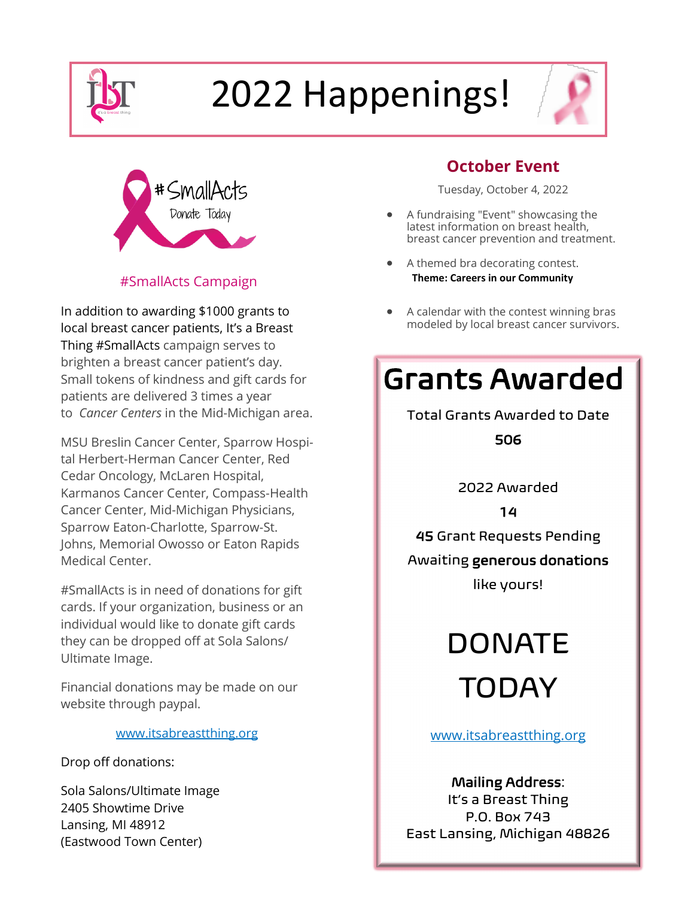

# 2022 Happenings!



### #SmallActs Campaign

In addition to awarding \$1000 grants to local breast cancer patients, It's a Breast Thing #SmallActs campaign serves to brighten a breast cancer patient's day. Small tokens of kindness and gift cards for patients are delivered 3 times a year to *Cancer Centers* in the Mid-Michigan area.

MSU Breslin Cancer Center, Sparrow Hospital Herbert-Herman Cancer Center, Red Cedar Oncology, McLaren Hospital, Karmanos Cancer Center, Compass-Health Cancer Center, Mid-Michigan Physicians, Sparrow Eaton-Charlotte, Sparrow-St. Johns, Memorial Owosso or Eaton Rapids Medical Center.

#SmallActs is in need of donations for gift cards. If your organization, business or an individual would like to donate gift cards they can be dropped off at Sola Salons/ Ultimate Image.

Financial donations may be made on our website through paypal.

### www.itsabreastthing.org

Drop off donations:

Sola Salons/Ultimate Image 2405 Showtime Drive Lansing, MI 48912 (Eastwood Town Center)

### **October Event**

Tuesday, October 4, 2022

- A fundraising "Event" showcasing the latest information on breast health, breast cancer prevention and treatment.
- A themed bra decorating contest.  **Theme: Careers in our Community**
- A calendar with the contest winning bras modeled by local breast cancer survivors.

### Grants Awarded

Total Grants Awarded to Date 506

2022 Awarded

14

45 Grant Requests Pending

### Awaiting generous donations

like yours!

DONATE TODAY

www.itsabreastthing.org

### Mailing Address:

It's a Breast Thing P.O. Box 743 East Lansing, Michigan 48826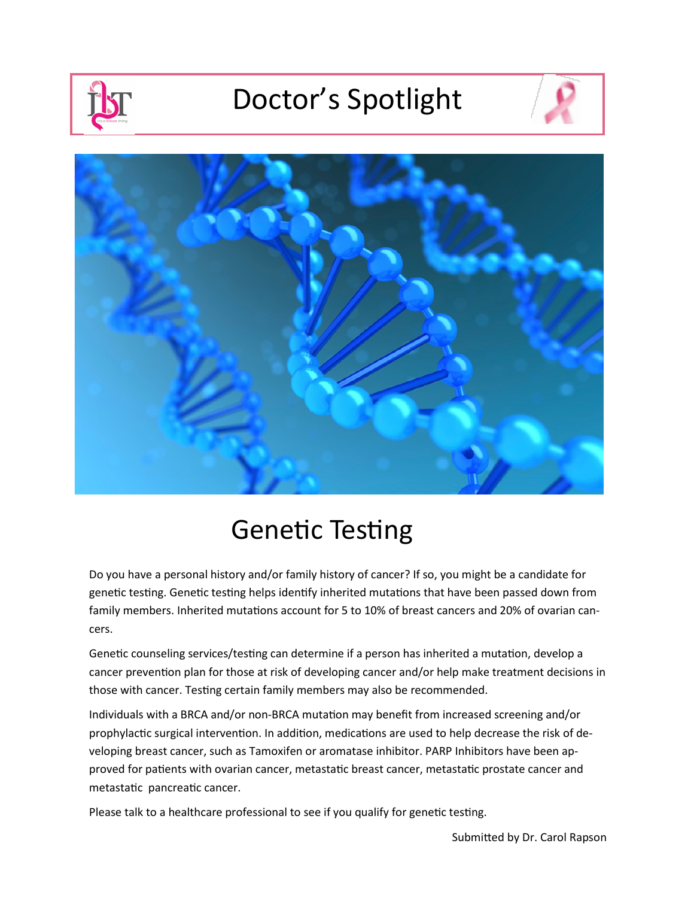## Doctor's Spotlight





### Genetic Testing

Do you have a personal history and/or family history of cancer? If so, you might be a candidate for genetic testing. Genetic testing helps identify inherited mutations that have been passed down from family members. Inherited mutations account for 5 to 10% of breast cancers and 20% of ovarian cancers.

Genetic counseling services/testing can determine if a person has inherited a mutation, develop a cancer prevention plan for those at risk of developing cancer and/or help make treatment decisions in those with cancer. Testing certain family members may also be recommended.

Individuals with a BRCA and/or non-BRCA mutation may benefit from increased screening and/or prophylactic surgical intervention. In addition, medications are used to help decrease the risk of developing breast cancer, such as Tamoxifen or aromatase inhibitor. PARP Inhibitors have been approved for patients with ovarian cancer, metastatic breast cancer, metastatic prostate cancer and metastatic pancreatic cancer.

Please talk to a healthcare professional to see if you qualify for genetic testing.